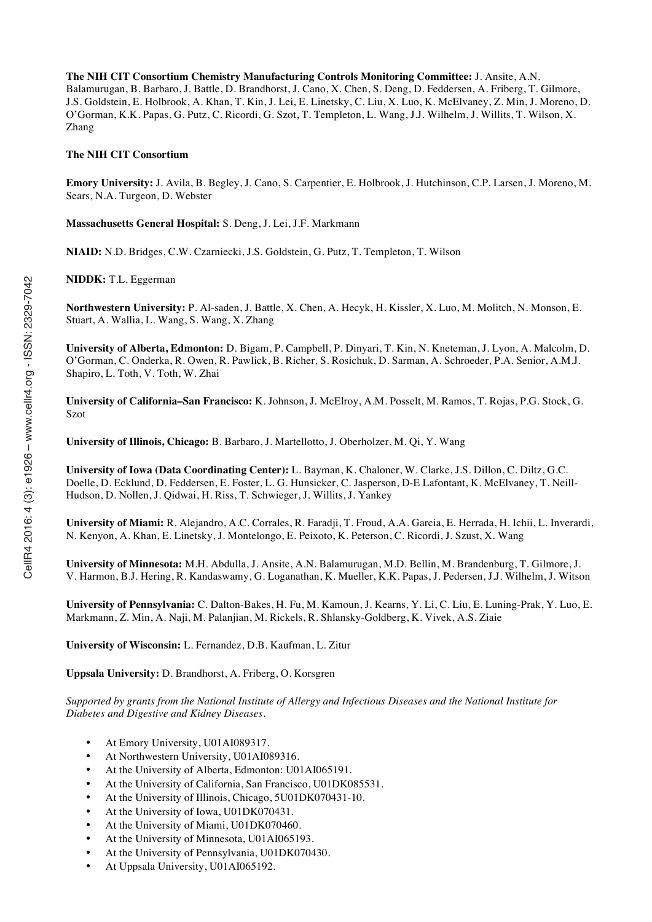**The NIH CIT Consortium Chemistry Manufacturing Controls Monitoring Committee:** J. Ansite, A.N. Balamurugan, B. Barbaro, J. Battle, D. Brandhorst, J. Cano, X. Chen, S. Deng, D. Feddersen, A. Friberg, T. Gilmore, J.S. Goldstein, E. Holbrook, A. Khan, T. Kin, J. Lei, E. Linetsky, C. Liu, X. Luo, K. McElvaney, Z. Min, J. Moreno, D. O'Gorman, K.K. Papas, G. Putz, C. Ricordi, G. Szot, T. Templeton, L. Wang, J.J. Wilhelm, J. Willits, T. Wilson, X. Zhang

#### **The NIH CIT Consortium**

**Emory University:** J. Avila, B. Begley, J. Cano, S. Carpentier, E. Holbrook, J. Hutchinson, C.P. Larsen, J. Moreno, M. Sears, N.A. Turgeon, D. Webster

**Massachusetts General Hospital:** S. Deng, J. Lei, J.F. Markmann

**NIAID:** N.D. Bridges, C.W. Czarniecki, J.S. Goldstein, G. Putz, T. Templeton, T. Wilson

**NIDDK:** T.L. Eggerman

**Northwestern University:** P. Al-saden, J. Battle, X. Chen, A. Hecyk, H. Kissler, X. Luo, M. Molitch, N. Monson, E. Stuart, A. Wallia, L. Wang, S. Wang, X. Zhang

**University of Alberta, Edmonton:** D. Bigam, P. Campbell, P. Dinyari, T. Kin, N. Kneteman, J. Lyon, A. Malcolm, D. O'Gorman, C. Onderka, R. Owen, R. Pawlick, B. Richer, S. Rosichuk, D. Sarman, A. Schroeder, P.A. Senior, A.M.J. Shapiro, L. Toth, V. Toth, W. Zhai

**University of California–San Francisco:** K. Johnson, J. McElroy, A.M. Posselt, M. Ramos, T. Rojas, P.G. Stock, G. Szot

**University of Illinois, Chicago:** B. Barbaro, J. Martellotto, J. Oberholzer, M. Qi, Y. Wang

**University of Iowa (Data Coordinating Center):** L. Bayman, K. Chaloner, W. Clarke, J.S. Dillon, C. Diltz, G.C. Doelle, D. Ecklund, D. Feddersen, E. Foster, L. G. Hunsicker, C. Jasperson, D-E Lafontant, K. McElvaney, T. Neill-Hudson, D. Nollen, J. Qidwai, H. Riss, T. Schwieger, J. Willits, J. Yankey

**University of Miami:** R. Alejandro, A.C. Corrales, R. Faradji, T. Froud, A.A. Garcia, E. Herrada, H. Ichii, L. Inverardi, N. Kenyon, A. Khan, E. Linetsky, J. Montelongo, E. Peixoto, K. Peterson, C. Ricordi, J. Szust, X. Wang

**University of Minnesota:** M.H. Abdulla, J. Ansite, A.N. Balamurugan, M.D. Bellin, M. Brandenburg, T. Gilmore, J. V. Harmon, B.J. Hering, R. Kandaswamy, G. Loganathan, K. Mueller, K.K. Papas, J. Pedersen, J.J. Wilhelm, J. Witson

**University of Pennsylvania:** C. Dalton-Bakes, H. Fu, M. Kamoun, J. Kearns, Y. Li, C. Liu, E. Luning-Prak, Y. Luo, E. Markmann, Z. Min, A. Naji, M. Palanjian, M. Rickels, R. Shlansky-Goldberg, K. Vivek, A.S. Ziaie

**University of Wisconsin:** L. Fernandez, D.B. Kaufman, L. Zitur

**Uppsala University:** D. Brandhorst, A. Friberg, O. Korsgren

*Supported by grants from the National Institute of Allergy and Infectious Diseases and the National Institute for Diabetes and Digestive and Kidney Diseases.*

- At Emory University, U01AI089317.
- At Northwestern University, U01AI089316.
- At the University of Alberta, Edmonton: U01AI065191.
- At the University of California, San Francisco, U01DK085531.
- At the University of Illinois, Chicago, 5U01DK070431-10.
- At the University of Iowa, U01DK070431.
- At the University of Miami, U01DK070460.
- At the University of Minnesota, U01AI065193.
- At the University of Pennsylvania, U01DK070430.
- At Uppsala University, U01AI065192.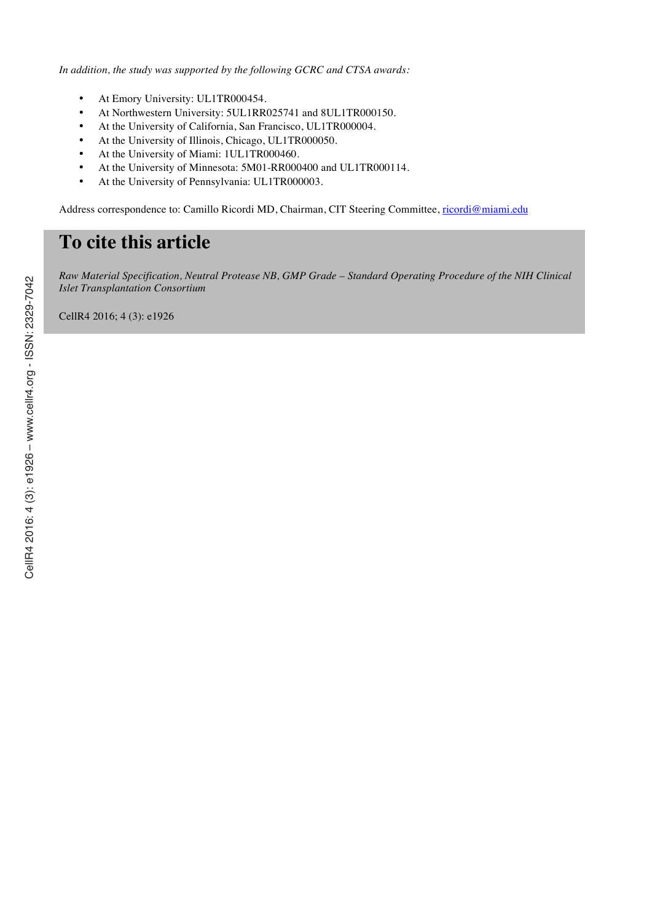*In addition, the study was supported by the following GCRC and CTSA awards:*

- At Emory University: UL1TR000454.
- At Northwestern University: 5UL1RR025741 and 8UL1TR000150.
- At the University of California, San Francisco, UL1TR000004.
- At the University of Illinois, Chicago, UL1TR000050.
- At the University of Miami: 1UL1TR000460.
- At the University of Minnesota: 5M01-RR000400 and UL1TR000114.
- At the University of Pennsylvania: UL1TR000003.

Address correspondence to: Camillo Ricordi MD, Chairman, CIT Steering Committee, ricordi@miami.edu

# **To cite this article**

*Raw Material Specification, Neutral Protease NB, GMP Grade – Standard Operating Procedure of the NIH Clinical Islet Transplantation Consortium*

CellR4 2016; 4 (3): e1926